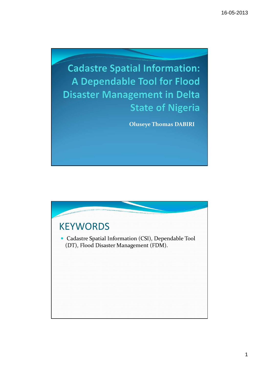

Oluseye Thomas DABIRI

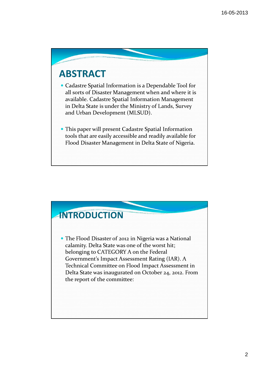## ABSTRACT

 Cadastre Spatial Information is a Dependable Tool for all sorts of Disaster Management when and where it is available. Cadastre Spatial Information Management in Delta State is under the Ministry of Lands, Survey and Urban Development (MLSUD).

 This paper will present Cadastre Spatial Information tools that are easily accessible and readily available for Flood Disaster Management in Delta State of Nigeria.

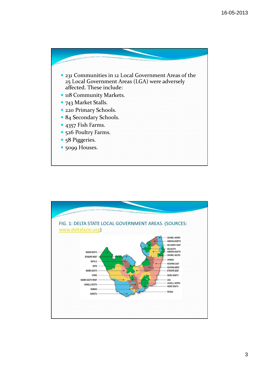

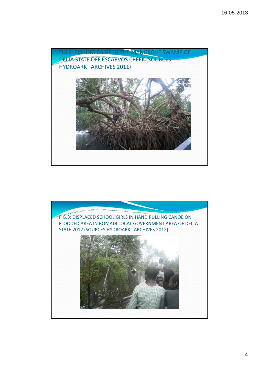

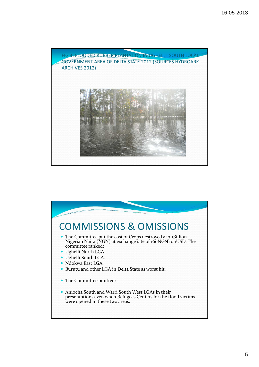

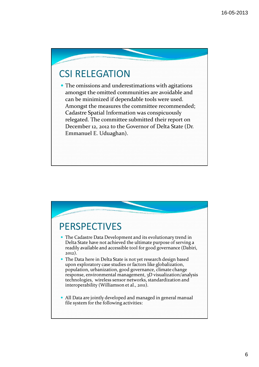## CSI RELEGATION

 The omissions and underestimations with agitations amongst the omitted communities are avoidable and can be minimized if dependable tools were used. Amongst the measures the committee recommended; Cadastre Spatial Information was conspicuously relegated. The committee submitted their report on December 12, 2012 to the Governor of Delta State (Dr. Emmanuel E. Uduaghan).

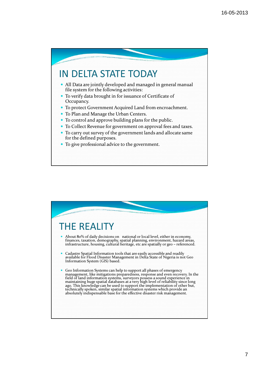